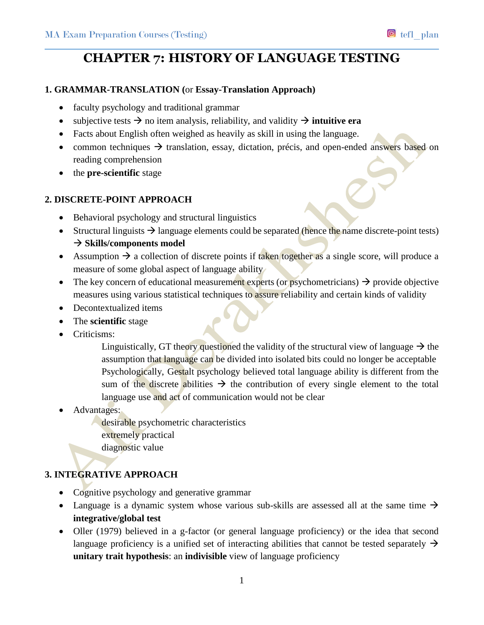# **CHAPTER 7: HISTORY OF LANGUAGE TESTING**

### **1. GRAMMAR-TRANSLATION (**or **Essay-Translation Approach)**

- faculty psychology and traditional grammar
- subjective tests  $\rightarrow$  no item analysis, reliability, and validity  $\rightarrow$  **intuitive era**
- Facts about English often weighed as heavily as skill in using the language.
- common techniques  $\rightarrow$  translation, essay, dictation, précis, and open-ended answers based on reading comprehension
- the **pre-scientific** stage

### **2. DISCRETE-POINT APPROACH**

- Behavioral psychology and structural linguistics
- Structural linguists  $\rightarrow$  language elements could be separated (hence the name discrete-point tests) → Skills/components model
- Assumption  $\rightarrow$  a collection of discrete points if taken together as a single score, will produce a measure of some global aspect of language ability
- The key concern of educational measurement experts (or psychometricians)  $\rightarrow$  provide objective measures using various statistical techniques to assure reliability and certain kinds of validity
- Decontextualized items
- The **scientific** stage
- Criticisms:

Linguistically, GT theory questioned the validity of the structural view of language  $\rightarrow$  the assumption that language can be divided into isolated bits could no longer be acceptable Psychologically, Gestalt psychology believed total language ability is different from the sum of the discrete abilities  $\rightarrow$  the contribution of every single element to the total language use and act of communication would not be clear

Advantages:

desirable psychometric characteristics extremely practical diagnostic value

## **3. INTEGRATIVE APPROACH**

- Cognitive psychology and generative grammar
- Language is a dynamic system whose various sub-skills are assessed all at the same time  $\rightarrow$ **integrative/global test**
- Oller (1979) believed in a g-factor (or general language proficiency) or the idea that second language proficiency is a unified set of interacting abilities that cannot be tested separately  $\rightarrow$ **unitary trait hypothesis**: an **indivisible** view of language proficiency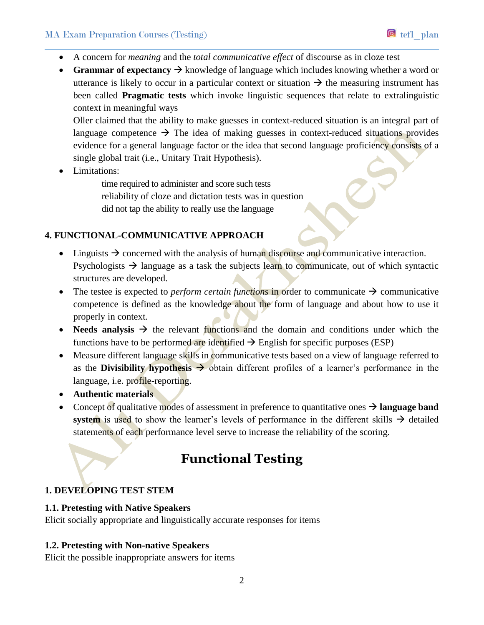### MA Exam Preparation Courses (Testing) tefl\_plan

- A concern for *meaning* and the *total communicative effect* of discourse as in cloze test
- **Grammar of expectancy**  $\rightarrow$  knowledge of language which includes knowing whether a word or utterance is likely to occur in a particular context or situation  $\rightarrow$  the measuring instrument has been called **Pragmatic tests** which invoke linguistic sequences that relate to extralinguistic context in meaningful ways

Oller claimed that the ability to make guesses in context-reduced situation is an integral part of language competence  $\rightarrow$  The idea of making guesses in context-reduced situations provides evidence for a general language factor or the idea that second language proficiency consists of a single global trait (i.e., Unitary Trait Hypothesis).

 $\bullet$  Limitations:

time required to administer and score such tests reliability of cloze and dictation tests was in question did not tap the ability to really use the language

### **4. FUNCTIONAL-COMMUNICATIVE APPROACH**

- $\bullet$  Linguists  $\rightarrow$  concerned with the analysis of human discourse and communicative interaction. Psychologists  $\rightarrow$  language as a task the subjects learn to communicate, out of which syntactic structures are developed.
- The testee is expected to *perform certain functions* in order to communicate  $\rightarrow$  communicative competence is defined as the knowledge about the form of language and about how to use it properly in context.
- Needs analysis  $\rightarrow$  the relevant functions and the domain and conditions under which the functions have to be performed are identified  $\rightarrow$  English for specific purposes (ESP)
- Measure different language skills in communicative tests based on a view of language referred to as the **Divisibility hypothesis**  $\rightarrow$  obtain different profiles of a learner's performance in the language, i.e. profile-reporting.
- **Authentic materials**
- Concept of qualitative modes of assessment in preference to quantitative ones  $\rightarrow$  language band **system** is used to show the learner's levels of performance in the different skills  $\rightarrow$  detailed statements of each performance level serve to increase the reliability of the scoring.

# **Functional Testing**

## **1. DEVELOPING TEST STEM**

#### **1.1. Pretesting with Native Speakers**

Elicit socially appropriate and linguistically accurate responses for items

### **1.2. Pretesting with Non-native Speakers**

Elicit the possible inappropriate answers for items